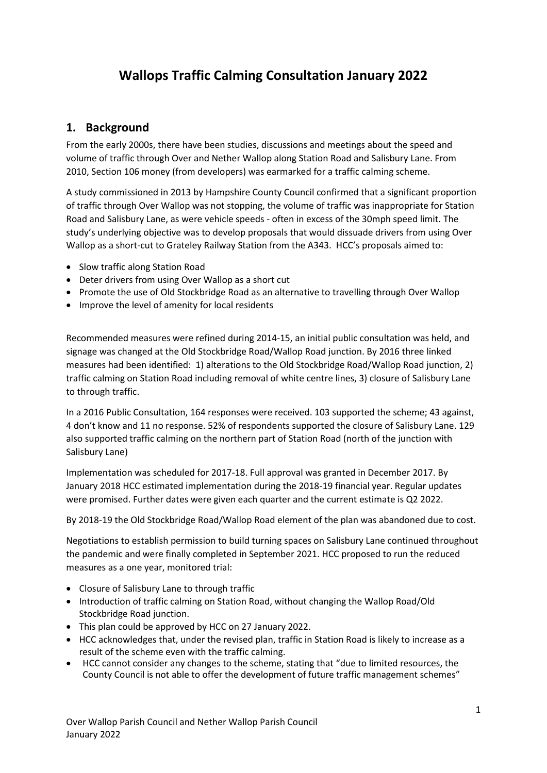# **Wallops Traffic Calming Consultation January 2022**

# **1. Background**

From the early 2000s, there have been studies, discussions and meetings about the speed and volume of traffic through Over and Nether Wallop along Station Road and Salisbury Lane. From 2010, Section 106 money (from developers) was earmarked for a traffic calming scheme.

A study commissioned in 2013 by Hampshire County Council confirmed that a significant proportion of traffic through Over Wallop was not stopping, the volume of traffic was inappropriate for Station Road and Salisbury Lane, as were vehicle speeds - often in excess of the 30mph speed limit. The study's underlying objective was to develop proposals that would dissuade drivers from using Over Wallop as a short-cut to Grateley Railway Station from the A343. HCC's proposals aimed to:

- Slow traffic along Station Road
- Deter drivers from using Over Wallop as a short cut
- Promote the use of Old Stockbridge Road as an alternative to travelling through Over Wallop
- Improve the level of amenity for local residents

Recommended measures were refined during 2014-15, an initial public consultation was held, and signage was changed at the Old Stockbridge Road/Wallop Road junction. By 2016 three linked measures had been identified: 1) alterations to the Old Stockbridge Road/Wallop Road junction, 2) traffic calming on Station Road including removal of white centre lines, 3) closure of Salisbury Lane to through traffic.

In a 2016 Public Consultation, 164 responses were received. 103 supported the scheme; 43 against, 4 don't know and 11 no response. 52% of respondents supported the closure of Salisbury Lane. 129 also supported traffic calming on the northern part of Station Road (north of the junction with Salisbury Lane)

Implementation was scheduled for 2017-18. Full approval was granted in December 2017. By January 2018 HCC estimated implementation during the 2018-19 financial year. Regular updates were promised. Further dates were given each quarter and the current estimate is Q2 2022.

By 2018-19 the Old Stockbridge Road/Wallop Road element of the plan was abandoned due to cost.

Negotiations to establish permission to build turning spaces on Salisbury Lane continued throughout the pandemic and were finally completed in September 2021. HCC proposed to run the reduced measures as a one year, monitored trial:

- Closure of Salisbury Lane to through traffic
- Introduction of traffic calming on Station Road, without changing the Wallop Road/Old Stockbridge Road junction.
- This plan could be approved by HCC on 27 January 2022.
- HCC acknowledges that, under the revised plan, traffic in Station Road is likely to increase as a result of the scheme even with the traffic calming.
- HCC cannot consider any changes to the scheme, stating that "due to limited resources, the County Council is not able to offer the development of future traffic management schemes"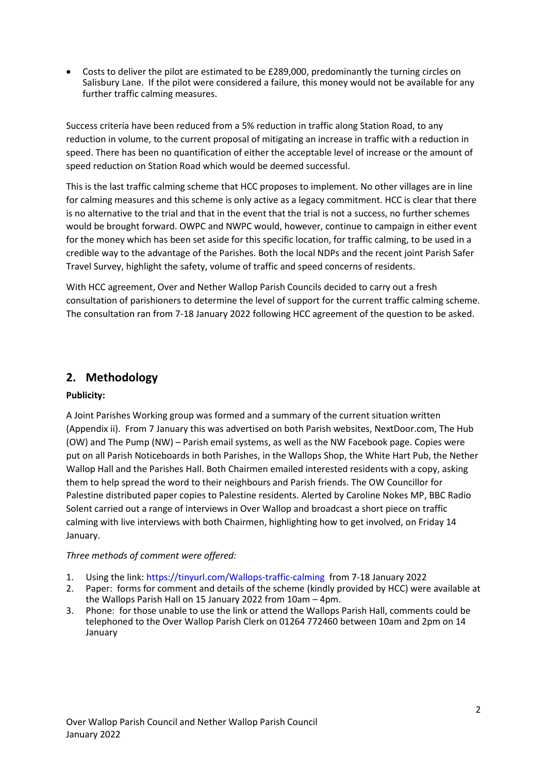Costs to deliver the pilot are estimated to be £289,000, predominantly the turning circles on Salisbury Lane. If the pilot were considered a failure, this money would not be available for any further traffic calming measures.

Success criteria have been reduced from a 5% reduction in traffic along Station Road, to any reduction in volume, to the current proposal of mitigating an increase in traffic with a reduction in speed. There has been no quantification of either the acceptable level of increase or the amount of speed reduction on Station Road which would be deemed successful.

This is the last traffic calming scheme that HCC proposes to implement. No other villages are in line for calming measures and this scheme is only active as a legacy commitment. HCC is clear that there is no alternative to the trial and that in the event that the trial is not a success, no further schemes would be brought forward. OWPC and NWPC would, however, continue to campaign in either event for the money which has been set aside for this specific location, for traffic calming, to be used in a credible way to the advantage of the Parishes. Both the local NDPs and the recent joint Parish Safer Travel Survey, highlight the safety, volume of traffic and speed concerns of residents.

With HCC agreement, Over and Nether Wallop Parish Councils decided to carry out a fresh consultation of parishioners to determine the level of support for the current traffic calming scheme. The consultation ran from 7-18 January 2022 following HCC agreement of the question to be asked.

# **2. Methodology**

### **Publicity:**

A Joint Parishes Working group was formed and a summary of the current situation written (Appendix ii). From 7 January this was advertised on both Parish websites, NextDoor.com, The Hub (OW) and The Pump (NW) – Parish email systems, as well as the NW Facebook page. Copies were put on all Parish Noticeboards in both Parishes, in the Wallops Shop, the White Hart Pub, the Nether Wallop Hall and the Parishes Hall. Both Chairmen emailed interested residents with a copy, asking them to help spread the word to their neighbours and Parish friends. The OW Councillor for Palestine distributed paper copies to Palestine residents. Alerted by Caroline Nokes MP, BBC Radio Solent carried out a range of interviews in Over Wallop and broadcast a short piece on traffic calming with live interviews with both Chairmen, highlighting how to get involved, on Friday 14 January.

### *Three methods of comment were offered:*

- 1. Using the link: https://tinyurl.com/Wallops-traffic-calming from 7-18 January 2022
- 2. Paper: forms for comment and details of the scheme (kindly provided by HCC) were available at the Wallops Parish Hall on 15 January 2022 from 10am – 4pm.
- 3. Phone: for those unable to use the link or attend the Wallops Parish Hall, comments could be telephoned to the Over Wallop Parish Clerk on 01264 772460 between 10am and 2pm on 14 January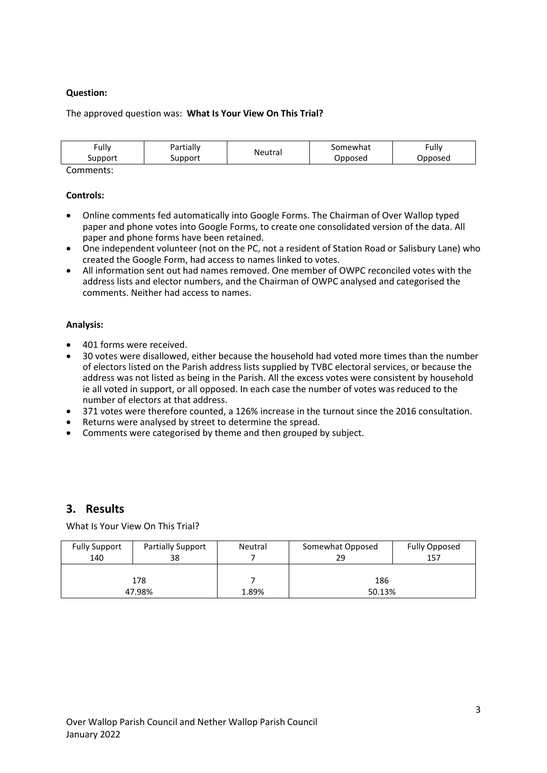#### **Question:**

The approved question was: **What Is Your View On This Trial?**

| Fully     | Partially | Neutral | Somewhat | Fully   |
|-----------|-----------|---------|----------|---------|
| Support   | Support   |         | Opposed  | Opposed |
| Comments: |           |         |          |         |

#### **Controls:**

- Online comments fed automatically into Google Forms. The Chairman of Over Wallop typed paper and phone votes into Google Forms, to create one consolidated version of the data. All paper and phone forms have been retained.
- One independent volunteer (not on the PC, not a resident of Station Road or Salisbury Lane) who created the Google Form, had access to names linked to votes.
- All information sent out had names removed. One member of OWPC reconciled votes with the address lists and elector numbers, and the Chairman of OWPC analysed and categorised the comments. Neither had access to names.

#### **Analysis:**

- 401 forms were received.
- 30 votes were disallowed, either because the household had voted more times than the number of electors listed on the Parish address lists supplied by TVBC electoral services, or because the address was not listed as being in the Parish. All the excess votes were consistent by household ie all voted in support, or all opposed. In each case the number of votes was reduced to the number of electors at that address.
- 371 votes were therefore counted, a 126% increase in the turnout since the 2016 consultation.
- Returns were analysed by street to determine the spread.
- Comments were categorised by theme and then grouped by subject.

# **3. Results**

What Is Your View On This Trial?

| <b>Fully Support</b> | <b>Partially Support</b> | Neutral | Somewhat Opposed | <b>Fully Opposed</b> |
|----------------------|--------------------------|---------|------------------|----------------------|
| 140                  | 38                       |         | 29               | 157                  |
|                      |                          |         |                  |                      |
| 178                  |                          |         | 186              |                      |
| 47.98%               |                          | 1.89%   | 50.13%           |                      |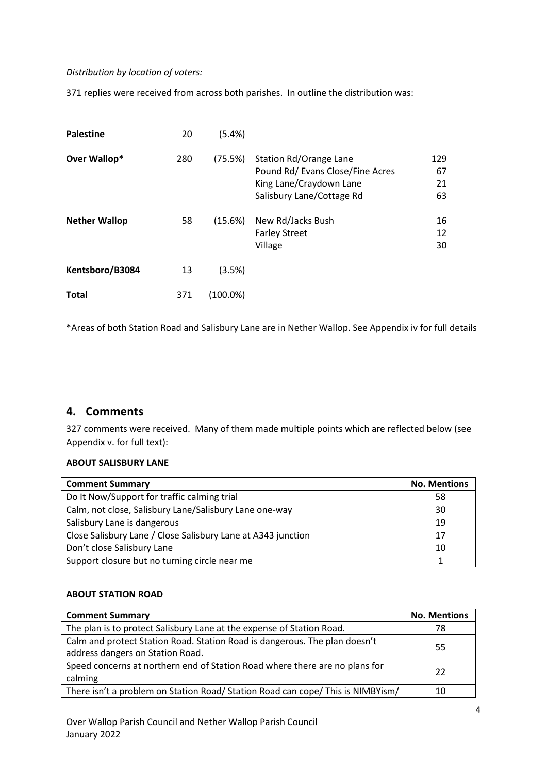#### *Distribution by location of voters:*

371 replies were received from across both parishes. In outline the distribution was:

| <b>Palestine</b>     | 20  | $(5.4\%)$ |                                  |     |
|----------------------|-----|-----------|----------------------------------|-----|
| Over Wallop*         | 280 | (75.5%)   | Station Rd/Orange Lane           | 129 |
|                      |     |           | Pound Rd/ Evans Close/Fine Acres | 67  |
|                      |     |           | King Lane/Craydown Lane          | 21  |
|                      |     |           | Salisbury Lane/Cottage Rd        | 63  |
| <b>Nether Wallop</b> | 58  | (15.6%)   | New Rd/Jacks Bush                | 16  |
|                      |     |           | <b>Farley Street</b>             | 12  |
|                      |     |           | Village                          | 30  |
| Kentsboro/B3084      | 13  | (3.5%)    |                                  |     |
| <b>Total</b>         | 371 | (100.0%)  |                                  |     |

\*Areas of both Station Road and Salisbury Lane are in Nether Wallop. See Appendix iv for full details

# **4. Comments**

327 comments were received. Many of them made multiple points which are reflected below (see Appendix v. for full text):

# **ABOUT SALISBURY LANE**

| <b>Comment Summary</b>                                       | <b>No. Mentions</b> |
|--------------------------------------------------------------|---------------------|
| Do It Now/Support for traffic calming trial                  | 58                  |
| Calm, not close, Salisbury Lane/Salisbury Lane one-way       | 30                  |
| Salisbury Lane is dangerous                                  | 19                  |
| Close Salisbury Lane / Close Salisbury Lane at A343 junction | 17                  |
| Don't close Salisbury Lane                                   | 10                  |
| Support closure but no turning circle near me                |                     |

# **ABOUT STATION ROAD**

| <b>Comment Summary</b>                                                          | <b>No. Mentions</b> |
|---------------------------------------------------------------------------------|---------------------|
| The plan is to protect Salisbury Lane at the expense of Station Road.           | 78                  |
| Calm and protect Station Road. Station Road is dangerous. The plan doesn't      | 55                  |
| address dangers on Station Road.                                                |                     |
| Speed concerns at northern end of Station Road where there are no plans for     | 22                  |
| calming                                                                         |                     |
| There isn't a problem on Station Road/ Station Road can cope/ This is NIMBYism/ | 10                  |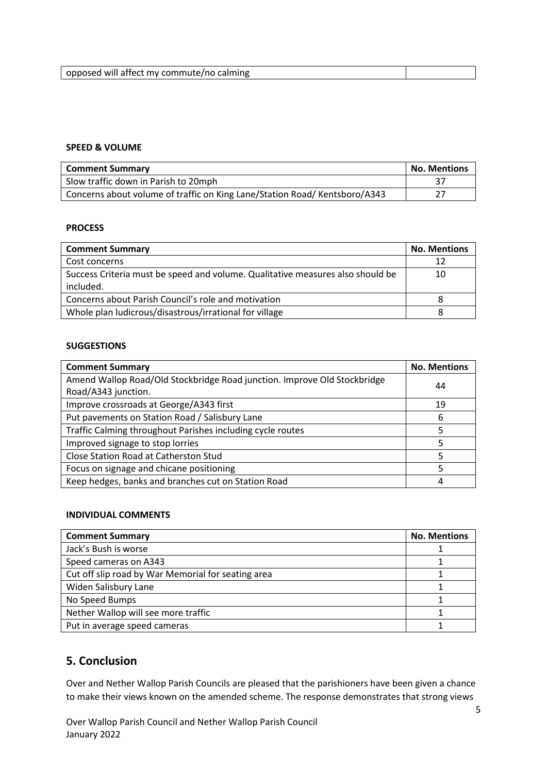| opposed will affect my commute/no<br>no calming |  |
|-------------------------------------------------|--|

# **SPEED & VOLUME**

| <b>Comment Summary</b>                                                    | <b>No. Mentions</b> |
|---------------------------------------------------------------------------|---------------------|
| Slow traffic down in Parish to 20mph                                      |                     |
| Concerns about volume of traffic on King Lane/Station Road/Kentsboro/A343 |                     |

#### **PROCESS**

| <b>Comment Summary</b>                                                                      | <b>No. Mentions</b> |
|---------------------------------------------------------------------------------------------|---------------------|
| Cost concerns                                                                               | 12                  |
| Success Criteria must be speed and volume. Qualitative measures also should be<br>included. | 10                  |
| Concerns about Parish Council's role and motivation                                         | 8                   |
| Whole plan ludicrous/disastrous/irrational for village                                      |                     |

#### **SUGGESTIONS**

| <b>Comment Summary</b>                                                   | <b>No. Mentions</b> |
|--------------------------------------------------------------------------|---------------------|
| Amend Wallop Road/Old Stockbridge Road junction. Improve Old Stockbridge | 44                  |
| Road/A343 junction.                                                      |                     |
| Improve crossroads at George/A343 first                                  | 19                  |
| Put pavements on Station Road / Salisbury Lane                           | 6                   |
| Traffic Calming throughout Parishes including cycle routes               | 5                   |
| Improved signage to stop lorries                                         |                     |
| Close Station Road at Catherston Stud                                    |                     |
| Focus on signage and chicane positioning                                 |                     |
| Keep hedges, banks and branches cut on Station Road                      | 4                   |

# **INDIVIDUAL COMMENTS**

| <b>Comment Summary</b>                             | <b>No. Mentions</b> |
|----------------------------------------------------|---------------------|
| Jack's Bush is worse                               |                     |
| Speed cameras on A343                              |                     |
| Cut off slip road by War Memorial for seating area |                     |
| Widen Salisbury Lane                               |                     |
| No Speed Bumps                                     |                     |
| Nether Wallop will see more traffic                |                     |
| Put in average speed cameras                       |                     |

# **5. Conclusion**

Over and Nether Wallop Parish Councils are pleased that the parishioners have been given a chance to make their views known on the amended scheme. The response demonstrates that strong views